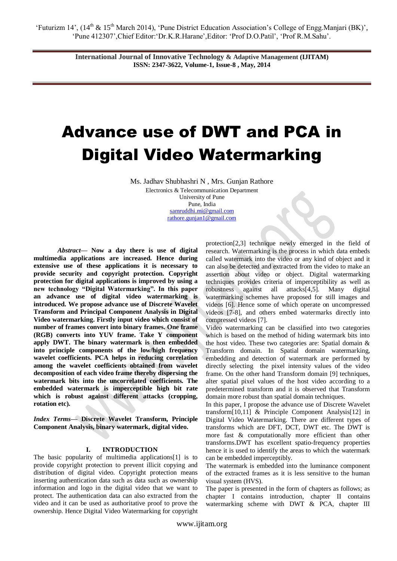**International Journal of Innovative Technology & Adaptive Management (IJITAM) ISSN: 2347-3622, Volume-1, Issue-8 , May, 2014**

# Advance use of DWT and PCA in Digital Video Watermarking

Ms. Jadhav Shubhashri N , Mrs. Gunjan Rathore

Electronics & Telecommunication Department University of Pune Pune, India [samruddhi.mi@gmail.com](mailto:samruddhi.mi@gmail.com) [rathore.gunjan1@gmail.com](mailto:rathore.gunjan1@gmail.com)

*Abstract***— Now a day there is use of digital multimedia applications are increased. Hence during extensive use of these applications it is necessary to provide security and copyright protection. Copyright protection for digital applications is improved by using a new technology "Digital Watermarking". In this paper an advance use of digital video watermarking is introduced. We propose advance use of Discrete Wavelet Transform and Principal Component Analysis in Digital Video watermarking. Firstly input video which consist of number of frames convert into binary frames. One frame (RGB) converts into YUV frame. Take Y component apply DWT. The binary watermark is then embedded into principle components of the low/high frequency wavelet coefficients. PCA helps in reducing correlation among the wavelet coefficients obtained from wavelet decomposition of each video frame thereby dispersing the watermark bits into the uncorrelated coefficients. The embedded watermark is imperceptible high bit rate which is robust against different attacks (cropping, rotation etc).**

*Index Terms***— Discrete Wavelet Transform, Principle Component Analysis, binary watermark, digital video.**

# **I. INTRODUCTION**

The basic popularity of multimedia applications[1] is to provide copyright protection to prevent illicit copying and distribution of digital video. Copyright protection means inserting authentication data such as data such as ownership information and logo in the digital video that we want to protect. The authentication data can also extracted from the video and it can be used as authoritative proof to prove the ownership. Hence Digital Video Watermarking for copyright protection[2,3] technique newly emerged in the field of research. Watermarking is the process in which data embeds called watermark into the video or any kind of object and it can also be detected and extracted from the video to make an assertion about video or object. Digital watermarking techniques provides criteria of imperceptibility as well as robustness against all attacks[4,5]. Many digital watermarking schemes have proposed for still images and videos [6]. Hence some of which operate on uncompressed videos [7-8], and others embed watermarks directly into compressed videos [7].

Video watermarking can be classified into two categories which is based on the method of hiding watermark bits into the host video. These two categories are: Spatial domain & Transform domain. In Spatial domain watermarking, embedding and detection of watermark are performed by directly selecting the pixel intensity values of the video frame. On the other hand Transform domain [9] techniques, alter spatial pixel values of the host video according to a predetermined transform and it is observed that Transform domain more robust than spatial domain techniques.

In this paper, I propose the advance use of Discrete Wavelet transform[10,11] & Principle Component Analysis[12] in Digital Video Watermarking. There are different types of transforms which are DFT, DCT, DWT etc. The DWT is more fast & computationally more efficient than other transforms.DWT has excellent spatio-frequency properties hence it is used to identify the areas to which the watermark can be embedded imperceptibly.

The watermark is embedded into the luminance component of the extracted frames as it is less sensitive to the human visual system (HVS).

The paper is presented in the form of chapters as follows; as chapter I contains introduction, chapter II contains watermarking scheme with DWT & PCA, chapter III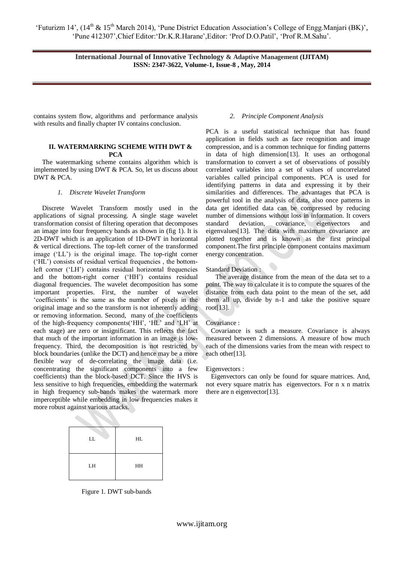**International Journal of Innovative Technology & Adaptive Management (IJITAM) ISSN: 2347-3622, Volume-1, Issue-8 , May, 2014**

contains system flow, algorithms and performance analysis with results and finally chapter IV contains conclusion.

## **II. WATERMARKING SCHEME WITH DWT & PCA**

 The watermarking scheme contains algorithm which is implemented by using DWT & PCA. So, let us discuss about DWT & PCA.

# *1. Discrete Wavelet Transform*

 Discrete Wavelet Transform mostly used in the applications of signal processing. A single stage wavelet transformation consist of filtering operation that decomposes an image into four frequency bands as shown in (fig 1). It is 2D-DWT which is an application of 1D-DWT in horizontal & vertical directions. The top-left corner of the transformed image ("LL") is the original image. The top-right corner ("HL") consists of residual vertical frequencies , the bottomleft corner ("LH") contains residual horizontal frequencies and the bottom-right corner ("HH") contains residual diagonal frequencies. The wavelet decomposition has some important properties. First, the number of wavelet "coefficients" is the same as the number of pixels in the original image and so the transform is not inherently adding or removing information. Second, many of the coefficients of the high-frequency components("HH", "HL" and "LH" at each stage) are zero or insignificant. This reflects the fact that much of the important information in an image is lowfrequency. Third, the decomposition is not restricted by block boundaries (unlike the DCT) and hence may be a more flexible way of de-correlating the image data (i.e. concentrating the significant components into a few coefficients) than the block-based DCT. Since the HVS is less sensitive to high frequencies, embedding the watermark in high frequency sub-bands makes the watermark more imperceptible while embedding in low frequencies makes it more robust against various attacks.

| LL | HL |
|----|----|
| LH | HH |

Figure 1. DWT sub-bands

#### *2. Principle Component Analysis*

PCA is a useful statistical technique that has found application in fields such as face recognition and image compression, and is a common technique for finding patterns in data of high dimension[13]. It uses an orthogonal transformation to convert a set of observations of possibly correlated variables into a set of values of uncorrelated variables called principal components. PCA is used for identifying patterns in data and expressing it by their similarities and differences. The advantages that PCA is powerful tool in the analysis of data, also once patterns in data get identified data can be compressed by reducing number of dimensions without loss in information. It covers standard deviation, covariance, eigenvectors and eigenvalues[13]. The data with maximum covariance are plotted together and is known as the first principal component.The first principle component contains maximum energy concentration.

Standard Deviation :

The average distance from the mean of the data set to a point. The way to calculate it is to compute the squares of the distance from each data point to the mean of the set, add them all up, divide by n-1 and take the positive square root[13].

#### Covariance :

 Covariance is such a measure. Covariance is always measured between 2 dimensions. A measure of how much each of the dimensions varies from the mean with respect to each other[13].

#### Eigenvectors :

 Eigenvectors can only be found for square matrices. And, not every square matrix has eigenvectors. For n x n matrix there are n eigenvector[13].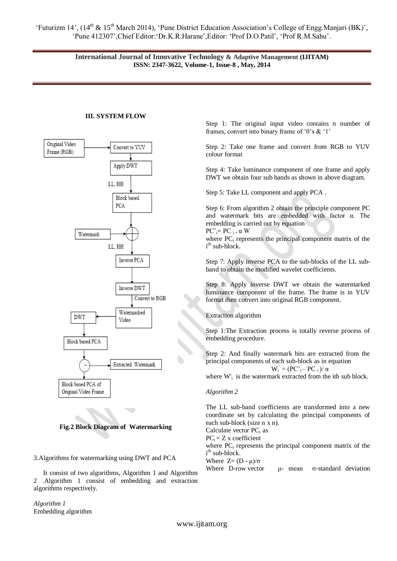'Futurizm 14', (14<sup>th</sup> & 15<sup>th</sup> March 2014), 'Pune District Education Association's College of Engg.Manjari (BK)', "Pune 412307",Chief Editor:"Dr.K.R.Harane",Editor: "Prof D.O.Patil", "Prof R.M.Sahu".

> **International Journal of Innovative Technology & Adaptive Management (IJITAM) ISSN: 2347-3622, Volume-1, Issue-8 , May, 2014**

#### **III. SYSTEM FLOW**



**Fig.2 Block Diagram of Watermarking**

3.Algorithms for watermarking using DWT and PCA

It consist of two algorithms, Algorithm 1 and Algorithm 2 .Algorithm 1 consist of embedding and extraction algorithms respectively.

*Algorithm 1* Embedding algorithm Step 1: The original input video contains n number of frames, convert into binary frame of '0's  $\&$  '1'

Step 2: Take one frame and convert from RGB to YUV colour format

Step 4: Take luminance component of one frame and apply DWT we obtain four sub bands as shown in above diagram.

Step 5: Take LL component and apply PCA .

Step 6: From algorithm 2 obtain the principle component PC and watermark bits are embedded with factor α. The embedding is carried out by equation

 $PC'_{i}= PC_{i+}\alpha W$ 

where  $PC<sub>i</sub>$  represents the principal component matrix of the i<sup>th</sup> sub-block.

Step 7: Apply inverse PCA to the sub-blocks of the LL subband to obtain the modified wavelet coefficients.

Step 8: Apply inverse DWT we obtain the watermarked luminance component of the frame. The frame is in YUV format then convert into original RGB component.

Extraction algorithm

Step 1:The Extraction process is totally reverse process of embedding procedure.

Step 2: And finally watermark bits are extracted from the principal components of each sub-block as in equation  $W_i^{\prime} = (PC_i^{\prime} - PC_i^{\prime})/\alpha$ 

where W'<sub>i</sub> is the watermark extracted from the ith sub block.

#### *Algorithm 2*

The LL sub-band coefficients are transformed into a new coordinate set by calculating the principal components of each sub-block (size n x n).

Calculate vector  $PC_i$  as

 $PC_i = Z$  x coefficient

where  $PC<sub>i</sub>$  represents the principal component matrix of the i<sup>th</sup> sub-block.

Where  $Z=(D - \mu)/\sigma$ 

Where D-row vector  $\mu$ - mean  $\sigma$ -standard deviation

www.ijitam.org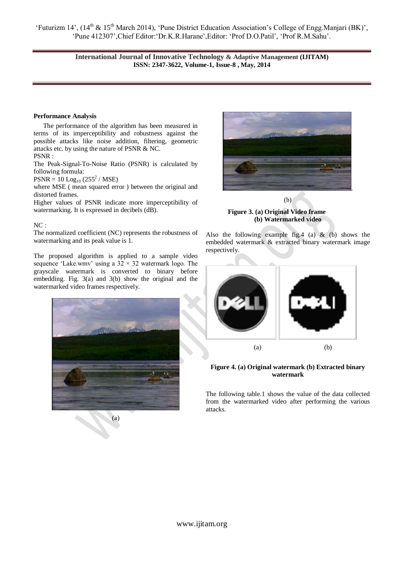'Futurizm 14', (14<sup>th</sup> & 15<sup>th</sup> March 2014), 'Pune District Education Association's College of Engg.Manjari (BK)', "Pune 412307",Chief Editor:"Dr.K.R.Harane",Editor: "Prof D.O.Patil", "Prof R.M.Sahu".

> **International Journal of Innovative Technology & Adaptive Management (IJITAM) ISSN: 2347-3622, Volume-1, Issue-8 , May, 2014**

#### **Performance Analysis**

The performance of the algorithm has been measured in terms of its imperceptibility and robustness against the possible attacks like noise addition, filtering, geometric attacks etc. by using the nature of PSNR & NC. PSNR :

The Peak-Signal-To-Noise Ratio (PSNR) is calculated by following formula:

 $PSNR = 10$   $Log_{10}$   $(255^2 / MSE)$ 

where MSE ( mean squared error ) between the original and distorted frames.

Higher values of PSNR indicate more imperceptibility of watermarking. It is expressed in decibels (dB).

## $\rm NC$  :

The normalized coefficient (NC) represents the robustness of watermarking and its peak value is 1.

The proposed algorithm is applied to a sample video sequence 'Lake.wmv' using a  $32 \times 32$  watermark logo. The grayscale watermark is converted to binary before embedding. Fig. 3(a) and 3(b) show the original and the watermarked video frames respectively.



(a)



(b) **Figure 3. (a) Original Video frame (b) Watermarked video**

Also the following example fig.4 (a)  $\&$  (b) shows the embedded watermark & extracted binary watermark image respectively.



# **Figure 4. (a) Original watermark (b) Extracted binary watermark**

The following table.1 shows the value of the data collected from the watermarked video after performing the various attacks.